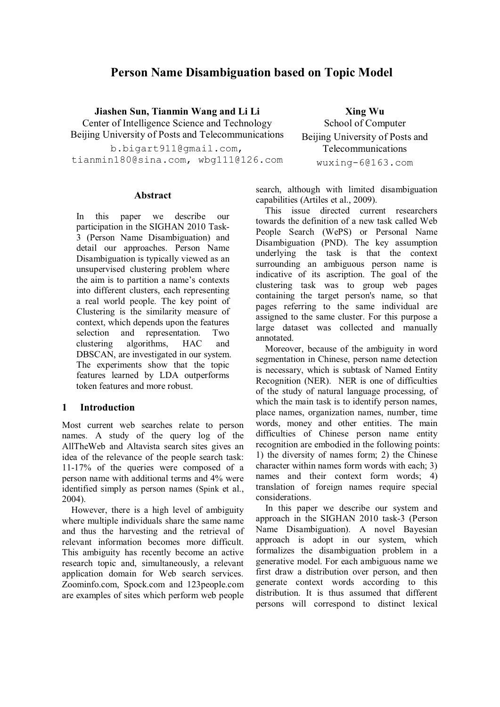# **Person Name Disambiguation based on Topic Model**

**Jiashen Sun, Tianmin Wang and Li Li**

Center of Intelligence Science and Technology Beijing University of Posts and Telecommunications

b.bigart1101.com,<br>bigartna.com, whall101.com,  $t_{\text{1}}$ 

**Abstract**

In this paper we describe our participation in the SIGHAN 2010 Task-3 (Person Name Disambiguation) and detail our approaches. Person Name Disambiguation is typically viewed as an unsupervised clustering problem where the aim is to partition a name's contexts into different clusters, each representing a real world people. The key point of Clustering is the similarity measure of context, which depends upon the features selection and representation. Two clustering algorithms, HAC and DBSCAN, are investigated in our system. The experiments show that the topic features learned by LDA outperforms token features and more robust.

## **1 Introduction**

Most current web searches relate to person names. A study of the query log of the AllTheWeb and Altavista search sites gives an idea of the relevance of the people search task: 11-17% of the queries were composed of a person name with additional terms and 4% were identified simply as person names (Spink et al., 2004).

However, there is a high level of ambiguity where multiple individuals share the same name and thus the harvesting and the retrieval of relevant information becomes more difficult. This ambiguity has recently become an active research topic and, simultaneously, a relevant application domain for Web search services. Zoominfo.com, Spock.com and 123people.com are examples of sites which perform web people

**Xing Wu** School of Computer Beijing University of Posts and Telecommunications where  $\frac{1}{2}$  is extended.

search, although with limited disambiguation capabilities (Artiles et al., 2009).

This issue directed current researchers towards the definition of a new task called Web People Search (WePS) or Personal Name Disambiguation (PND). The key assumption underlying the task is that the context surrounding an ambiguous person name is indicative of its ascription. The goal of the clustering task was to group web pages containing the target person's name, so that pages referring to the same individual are assigned to the same cluster. For this purpose a large dataset was collected and manually annotated.

Moreover, because of the ambiguity in word segmentation in Chinese, person name detection is necessary, which is subtask of Named Entity Recognition (NER). NER is one of difficulties of the study of natural language processing, of which the main task is to identify person names, place names, organization names, number, time words, money and other entities. The main difficulties of Chinese person name entity recognition are embodied in the following points: 1) the diversity of names form; 2) the Chinese character within names form words with each; 3) names and their context form words; 4) translation of foreign names require special considerations.

In this paper we describe our system and approach in the SIGHAN 2010 task-3 (Person Name Disambiguation). A novel Bayesian approach is adopt in our system, which formalizes the disambiguation problem in a generative model. For each ambiguous name we first draw a distribution over person, and then generate context words according to this distribution. It is thus assumed that different persons will correspond to distinct lexical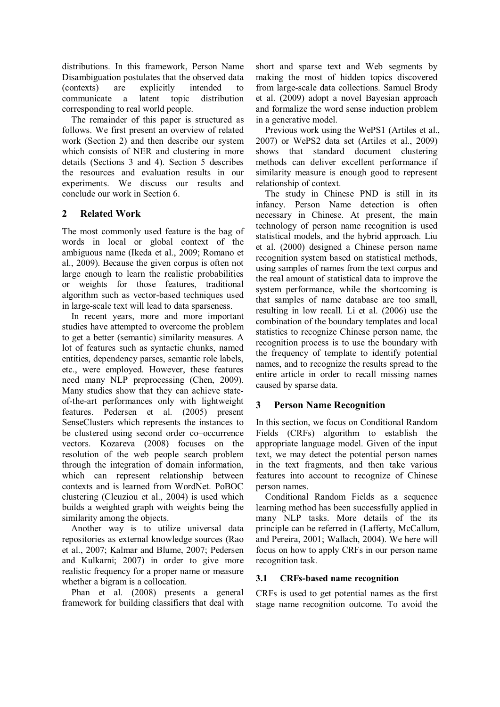distributions. In this framework, Person Name Disambiguation postulates that the observed data (contexts) are explicitly intended to communicate a latent topic distribution corresponding to real world people.

The remainder of this paper is structured as follows. We first present an overview of related work (Section 2) and then describe our system which consists of NER and clustering in more details (Sections 3 and 4). Section 5 describes the resources and evaluation results in our experiments. We discuss our results and conclude our work in Section 6.

## **2 Related Work**

The most commonly used feature is the bag of words in local or global context of the ambiguous name (Ikeda et al., 2009; Romano et al., 2009). Because the given corpus is often not large enough to learn the realistic probabilities or weights for those features, traditional algorithm such as vector-based techniques used in large-scale text will lead to data sparseness.

In recent years, more and more important studies have attempted to overcome the problem to get a better (semantic) similarity measures. A lot of features such as syntactic chunks, named entities, dependency parses, semantic role labels, etc., were employed. However, these features need many NLP preprocessing (Chen, 2009). Many studies show that they can achieve stateof-the-art performances only with lightweight features. Pedersen et al. (2005) present SenseClusters which represents the instances to be clustered using second order co–occurrence vectors. Kozareva (2008) focuses on the resolution of the web people search problem through the integration of domain information, which can represent relationship between contexts and is learned from WordNet. PoBOC clustering (Cleuziou et al., 2004) is used which builds a weighted graph with weights being the similarity among the objects.

Another way is to utilize universal data repositories as external knowledge sources (Rao et al., 2007; Kalmar and Blume, 2007; Pedersen and Kulkarni; 2007) in order to give more realistic frequency for a proper name or measure whether a bigram is a collocation.

Phan et al. (2008) presents a general framework for building classifiers that deal with

short and sparse text and Web segments by making the most of hidden topics discovered from large-scale data collections. Samuel Brody et al. (2009) adopt a novel Bayesian approach and formalize the word sense induction problem in a generative model.

Previous work using the WePS1 (Artiles et al., 2007) or WePS2 data set (Artiles et al., 2009) shows that standard document clustering methods can deliver excellent performance if similarity measure is enough good to represent relationship of context.

The study in Chinese PND is still in its infancy. Person Name detection is often necessary in Chinese. At present, the main technology of person name recognition is used statistical models, and the hybrid approach. Liu et al. (2000) designed a Chinese person name recognition system based on statistical methods, using samples of names from the text corpus and the real amount of statistical data to improve the system performance, while the shortcoming is that samples of name database are too small, resulting in low recall. Li et al. (2006) use the combination of the boundary templates and local statistics to recognize Chinese person name, the recognition process is to use the boundary with the frequency of template to identify potential names, and to recognize the results spread to the entire article in order to recall missing names caused by sparse data.

## **3 Person Name Recognition**

In this section, we focus on Conditional Random Fields (CRFs) algorithm to establish the appropriate language model. Given of the input text, we may detect the potential person names in the text fragments, and then take various features into account to recognize of Chinese person names.

Conditional Random Fields as a sequence learning method has been successfully applied in many NLP tasks. More details of the its principle can be referred in (Lafferty, McCallum, and Pereira, 2001; Wallach, 2004). We here will focus on how to apply CRFs in our person name recognition task.

## **3.1 CRFs-based name recognition**

CRFs is used to get potential names as the first stage name recognition outcome. To avoid the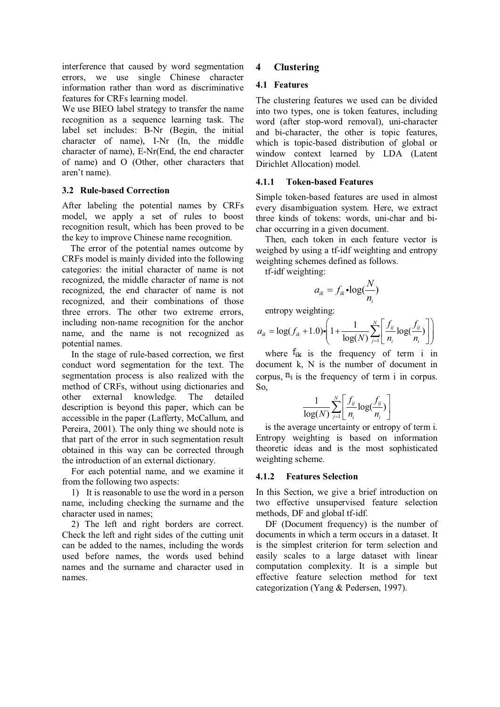interference that caused by word segmentation errors, we use single Chinese character information rather than word as discriminative features for CRFs learning model.

We use BIEO label strategy to transfer the name recognition as a sequence learning task. The label set includes: B-Nr (Begin, the initial character of name), I-Nr (In, the middle character of name), E-Nr(End, the end character of name) and O (Other, other characters that aren't name).

### **3.2 Rule-based Correction**

After labeling the potential names by CRFs model, we apply a set of rules to boost recognition result, which has been proved to be the key to improve Chinese name recognition.

The error of the potential names outcome by CRFs model is mainly divided into the following categories: the initial character of name is not recognized, the middle character of name is not recognized, the end character of name is not recognized, and their combinations of those three errors. The other two extreme errors, including non-name recognition for the anchor name, and the name is not recognized as potential names.

In the stage of rule-based correction, we first conduct word segmentation for the text. The segmentation process is also realized with the method of CRFs, without using dictionaries and other external knowledge. The detailed description is beyond this paper, which can be accessible in the paper (Lafferty, McCallum, and Pereira, 2001). The only thing we should note is that part of the error in such segmentation result obtained in this way can be corrected through the introduction of an external dictionary.

For each potential name, and we examine it from the following two aspects:

1) It is reasonable to use the word in a person name, including checking the surname and the character used in names;

2) The left and right borders are correct. Check the left and right sides of the cutting unit can be added to the names, including the words used before names, the words used behind names and the surname and character used in names.

## **4 Clustering**

### **4.1 Features**

The clustering features we used can be divided into two types, one is token features, including word (after stop-word removal), uni-character and bi-character, the other is topic features, which is topic-based distribution of global or window context learned by LDA (Latent Dirichlet Allocation) model.

### **4.1.1 Token-based Features**

Simple token-based features are used in almost every disambiguation system. Here, we extract three kinds of tokens: words, uni-char and bichar occurring in a given document.

Then, each token in each feature vector is weighed by using a tf-idf weighting and entropy weighting schemes defined as follows.

tf-idf weighting:

$$
a_{ik} = f_{ik} \cdot \log(\frac{N}{n_i})
$$

entropy weighting:

$$
a_{ik} = \log(f_{ik} + 1.0) \cdot \left( 1 + \frac{1}{\log(N)} \sum_{j=1}^{N} \left[ \frac{f_{ij}}{n_i} \log(\frac{f_{ij}}{n_i}) \right] \right)
$$

where  $f_{ik}$  is the frequency of term i in document k, N is the number of document in corpus,  $\mathbf{n}_i$  is the frequency of term i in corpus. So,

$$
\frac{1}{\log(N)}\sum_{j=1}^N\left[\frac{f_{ij}}{n_i}\log(\frac{f_{ij}}{n_i})\right]
$$

is the average uncertainty or entropy of term i. Entropy weighting is based on information theoretic ideas and is the most sophisticated weighting scheme.

### **4.1.2 Features Selection**

In this Section, we give a brief introduction on two effective unsupervised feature selection methods, DF and global tf-idf.

DF (Document frequency) is the number of documents in which a term occurs in a dataset. It is the simplest criterion for term selection and easily scales to a large dataset with linear computation complexity. It is a simple but effective feature selection method for text categorization (Yang & Pedersen, 1997).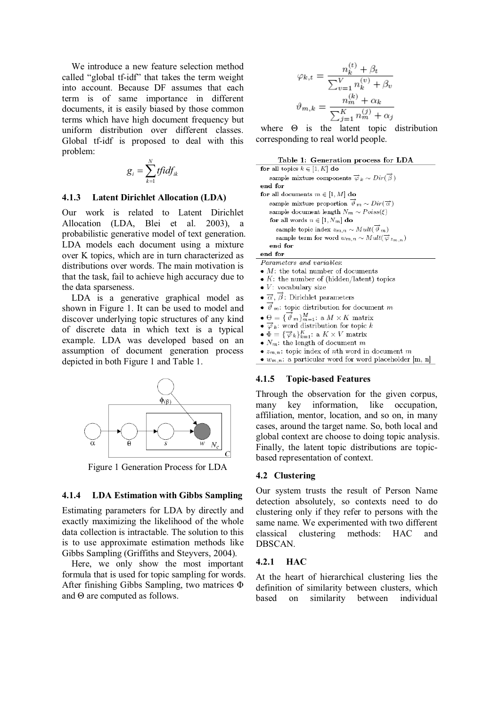We introduce a new feature selection method called "global tf-idf" that takes the term weight into account. Because DF assumes that each term is of same importance in different documents, it is easily biased by those common terms which have high document frequency but uniform distribution over different classes. Global tf-idf is proposed to deal with this problem:

$$
g_i = \sum_{k=1}^N t f i df_{ik}
$$

#### **4.1.3 Latent Dirichlet Allocation (LDA)**

Our work is related to Latent Dirichlet Allocation (LDA, Blei et al. 2003), a probabilistic generative model of text generation. LDA models each document using a mixture over K topics, which are in turn characterized as distributions over words. The main motivation is that the task, fail to achieve high accuracy due to the data sparseness.

LDA is a generative graphical model as shown in Figure 1. It can be used to model and discover underlying topic structures of any kind of discrete data in which text is a typical example. LDA was developed based on an assumption of document generation process depicted in both Figure 1 and Table 1.



Figure 1 Generation Process for LDA

#### **4.1.4 LDA Estimation with Gibbs Sampling**

Estimating parameters for LDA by directly and exactly maximizing the likelihood of the whole data collection is intractable. The solution to this is to use approximate estimation methods like Gibbs Sampling (Griffiths and Steyvers, 2004).

Here, we only show the most important formula that is used for topic sampling for words. After finishing Gibbs Sampling, two matrices  $\Phi$ and  $\Theta$  are computed as follows.

$$
\varphi_{k,t} = \frac{n_k^{(t)} + \beta_t}{\sum_{v=1}^V n_k^{(v)} + \beta_v}
$$

$$
\vartheta_{m,k} = \frac{n_m^{(k)} + \alpha_k}{\sum_{j=1}^K n_m^{(j)} + \alpha_j}
$$

where  $\Theta$  is the latent topic distribution corresponding to real world people.

| Table 1: Generation process for LDA |  |  |  |  |
|-------------------------------------|--|--|--|--|
|-------------------------------------|--|--|--|--|

for all topics  $k \in [1, K]$  do sample mixture components  $\vec{\varphi}_k \sim Dir(\vec{\beta})$ end for for all documents  $m \in [1, M]$  do sample mixture proportion  $\overrightarrow{\theta}_m \sim Dir(\overrightarrow{\alpha})$ sample document length  $N_m \sim Poiss(\xi)$ for all words  $n \in [1, N_m]$  do sample topic index  $z_{m,n} \sim Mult(\vec{\theta}_{m})$ sample term for word  $w_{m,n} \sim Mult(\vec{\varphi}_{z_{m,n}})$ end for end for Parameters and variables:  $\bullet$  M: the total number of documents •  $K$ : the number of (hidden/latent) topics  $\bullet$  V: vocabulary size

- $\bullet$   $\overrightarrow{\alpha}, \overrightarrow{\beta}$  : Dirichlet parameters
- $\bullet$   $\overline{\vartheta}_m$ : topic distribution for document m
- $\bullet \Theta = {\overrightarrow{\vartheta}}_m_{m=1}^M$ : a  $M \times K$  matrix
- $\bullet \ \overrightarrow{\varphi}_k$ : word distribution for topic k
- $\bullet \Phi = {\overrightarrow{\varphi}}_k_{k=1}^K$ : a  $K \times V$  matrix
- $N_m$ : the length of document m
- $\bullet$   $z_{m,n}$  : topic index of  $n\text{th}$  word in document  $m$
- $\bullet$   $w_{m,n}$ : a particular word for word placeholder [m, n]

#### **4.1.5 Topic-based Features**

Through the observation for the given corpus, many key information, like occupation, affiliation, mentor, location, and so on, in many cases, around the target name. So, both local and global context are choose to doing topic analysis. Finally, the latent topic distributions are topicbased representation of context.

#### **4.2 Clustering**

Our system trusts the result of Person Name detection absolutely, so contexts need to do clustering only if they refer to persons with the same name. We experimented with two different classical clustering methods: HAC and DBSCAN.

### **4.2.1 HAC**

At the heart of hierarchical clustering lies the definition of similarity between clusters, which based on similarity between individual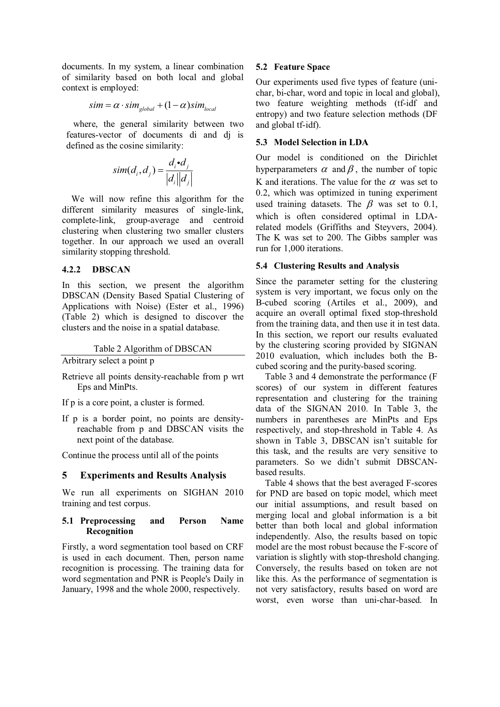documents. In my system, a linear combination of similarity based on both local and global context is employed:

$$
sim = \alpha \cdot sim_{global} + (1 - \alpha)sim_{local}
$$

where, the general similarity between two features-vector of documents di and dj is defined as the cosine similarity:

$$
sim(d_i, d_j) = \frac{d_i \cdot d_j}{|d_i||d_j|}
$$

We will now refine this algorithm for the different similarity measures of single-link, complete-link, group-average and centroid clustering when clustering two smaller clusters together. In our approach we used an overall similarity stopping threshold.

## **4.2.2 DBSCAN**

In this section, we present the algorithm DBSCAN (Density Based Spatial Clustering of Applications with Noise) (Ester et al., 1996) (Table 2) which is designed to discover the clusters and the noise in a spatial database.

Table 2 Algorithm of DBSCAN

Arbitrary select a point p

- Retrieve all points density-reachable from p wrt Eps and MinPts.
- If p is a core point, a cluster is formed.
- If p is a border point, no points are densityreachable from p and DBSCAN visits the next point of the database.

Continue the process until all of the points

## **5 Experiments and Results Analysis**

We run all experiments on SIGHAN 2010 training and test corpus.

## **5.1 Preprocessing and Person Name Recognition**

Firstly, a word segmentation tool based on CRF is used in each document. Then, person name recognition is processing. The training data for word segmentation and PNR is People's Daily in January, 1998 and the whole 2000, respectively.

## **5.2 Feature Space**

Our experiments used five types of feature (unichar, bi-char, word and topic in local and global), two feature weighting methods (tf-idf and entropy) and two feature selection methods (DF and global tf-idf).

## **5.3 Model Selection in LDA**

Our model is conditioned on the Dirichlet hyperparameters  $\alpha$  and  $\beta$ , the number of topic K and iterations. The value for the  $\alpha$  was set to 0.2, which was optimized in tuning experiment used training datasets. The  $\beta$  was set to 0.1, which is often considered optimal in LDArelated models (Griffiths and Steyvers, 2004). The K was set to 200. The Gibbs sampler was run for 1,000 iterations.

## **5.4 Clustering Results and Analysis**

Since the parameter setting for the clustering system is very important, we focus only on the B-cubed scoring (Artiles et al., 2009), and acquire an overall optimal fixed stop-threshold from the training data, and then use it in test data. In this section, we report our results evaluated by the clustering scoring provided by SIGNAN 2010 evaluation, which includes both the Bcubed scoring and the purity-based scoring.

Table 3 and 4 demonstrate the performance (F scores) of our system in different features representation and clustering for the training data of the SIGNAN 2010. In Table 3, the numbers in parentheses are MinPts and Eps respectively, and stop-threshold in Table 4. As shown in Table 3, DBSCAN isn't suitable for this task, and the results are very sensitive to parameters. So we didn't submit DBSCANbased results.

Table 4 shows that the best averaged F-scores for PND are based on topic model, which meet our initial assumptions, and result based on merging local and global information is a bit better than both local and global information independently. Also, the results based on topic model are the most robust because the F-score of variation is slightly with stop-threshold changing. Conversely, the results based on token are not like this. As the performance of segmentation is not very satisfactory, results based on word are worst, even worse than uni-char-based. In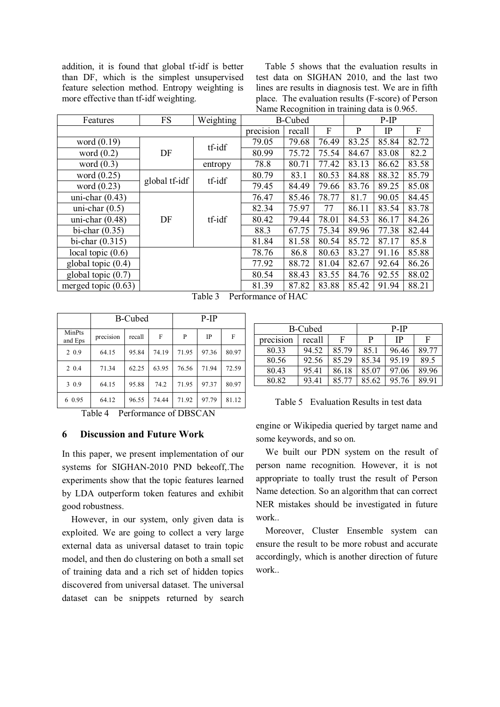addition, it is found that global tf-idf is better than DF, which is the simplest unsupervised feature selection method. Entropy weighting is more effective than tf-idf weighting.

Table 5 shows that the evaluation results in test data on SIGHAN 2010, and the last two lines are results in diagnosis test. We are in fifth place. The evaluation results (F-score) of Person Name Recognition in training data is 0.965.

| Features              | FS            | Weighting | <b>B-Cubed</b>      |       |        | ັ<br>$P-IP$ |             |       |       |       |       |
|-----------------------|---------------|-----------|---------------------|-------|--------|-------------|-------------|-------|-------|-------|-------|
|                       |               |           | precision<br>recall |       | F      | P           | $_{\rm IP}$ | F     |       |       |       |
| word $(0.19)$         | DF            |           | tf-idf              | 79.05 | 79.68  | 76.49       | 83.25       | 85.84 | 82.72 |       |       |
| word $(0.2)$          |               |           | 80.99               | 75.72 | 75.54  | 84.67       | 83.08       | 82.2  |       |       |       |
| word $(0.3)$          |               | entropy   | 78.8                | 80.71 | 77.42  | 83.13       | 86.62       | 83.58 |       |       |       |
| word $(0.25)$         |               | tf-idf    | 80.79               | 83.1  | 80.53  | 84.88       | 88.32       | 85.79 |       |       |       |
| word $(0.23)$         | global tf-idf |           | 79.45               | 84.49 | 79.66  | 83.76       | 89.25       | 85.08 |       |       |       |
| uni-char $(0.43)$     | DF            |           | 76.47               | 85.46 | 78.77  | 81.7        | 90.05       | 84.45 |       |       |       |
| uni-char $(0.5)$      |               |           | 82.34               | 75.97 | 77     | 86.11       | 83.54       | 83.78 |       |       |       |
| uni-char $(0.48)$     |               |           |                     |       | tf-idf | 80.42       | 79.44       | 78.01 | 84.53 | 86.17 | 84.26 |
| bi-char $(0.35)$      |               |           |                     | 88.3  | 67.75  | 75.34       | 89.96       | 77.38 | 82.44 |       |       |
| bi-char $(0.315)$     |               |           |                     | 81.84 | 81.58  | 80.54       | 85.72       | 87.17 | 85.8  |       |       |
| local topic $(0.6)$   |               |           | 78.76               | 86.8  | 80.63  | 83.27       | 91.16       | 85.88 |       |       |       |
| global topic $(0.4)$  |               |           | 77.92               | 88.72 | 81.04  | 82.67       | 92.64       | 86.26 |       |       |       |
| global topic $(0.7)$  |               |           | 80.54               | 88.43 | 83.55  | 84.76       | 92.55       | 88.02 |       |       |       |
| merged topic $(0.63)$ |               |           | 81.39               | 87.82 | 83.88  | 85.42       | 91.94       | 88.21 |       |       |       |

Table 3 Performance of HAC

|                   | <b>B-Cubed</b> |        |       | P-IP  |       |       |
|-------------------|----------------|--------|-------|-------|-------|-------|
| MinPts<br>and Eps | precision      | recall | F     | P     | IP    | F     |
| 2 0.9             | 64.15          | 95.84  | 74.19 | 71.95 | 97.36 | 80.97 |
| 2 0.4             | 71.34          | 62.25  | 63.95 | 76.56 | 71.94 | 72.59 |
| 3 0.9             | 64.15          | 95.88  | 74.2  | 71.95 | 97.37 | 80.97 |
| 6 0.95            | 64.12          | 96.55  | 74.44 | 71.92 | 97.79 | 81.12 |

Table 4 Performance of DBSCAN

## **6 Discussion and Future Work**

In this paper, we present implementation of our systems for SIGHAN-2010 PND bekeoff,.The experiments show that the topic features learned by LDA outperform token features and exhibit good robustness.

However, in our system, only given data is exploited. We are going to collect a very large external data as universal dataset to train topic model, and then do clustering on both a small set of training data and a rich set of hidden topics discovered from universal dataset. The universal dataset can be snippets returned by search

| B-Cubed   |        |       | P-IP  |           |       |  |
|-----------|--------|-------|-------|-----------|-------|--|
| precision | recall | F     | P     | <b>IP</b> | F     |  |
| 80.33     | 94.52  | 85.79 | 85.1  | 96.46     | 89.77 |  |
| 80.56     | 92.56  | 85.29 | 85.34 | 95.19     | 89.5  |  |
| 80.43     | 95.41  | 86.18 | 85.07 | 97.06     | 89.96 |  |
| 80.82     | 93.41  | 85.77 | 85.62 | 95.76     | 89.91 |  |

Table 5 Evaluation Results in test data

engine or Wikipedia queried by target name and some keywords, and so on.

We built our PDN system on the result of person name recognition. However, it is not appropriate to toally trust the result of Person Name detection. So an algorithm that can correct NER mistakes should be investigated in future work..

Moreover, Cluster Ensemble system can ensure the result to be more robust and accurate accordingly, which is another direction of future work..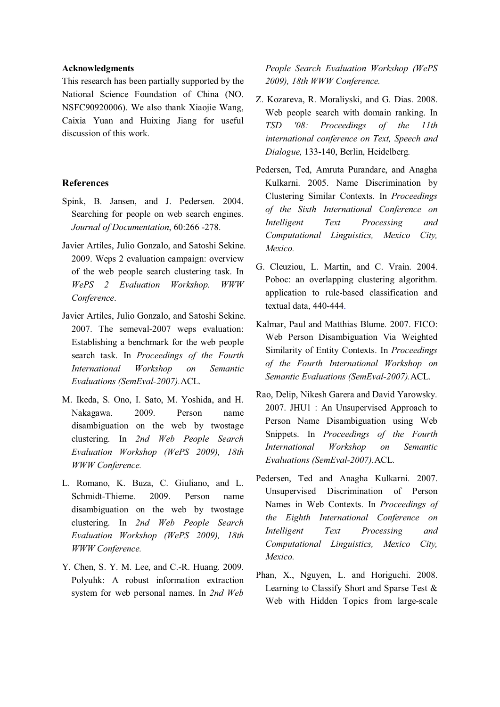### **Acknowledgments**

This research has been partially supported by the National Science Foundation of China (NO. NSFC90920006). We also thank Xiaojie Wang, Caixia Yuan and Huixing Jiang for useful discussion of this work.

## **References**

- Spink, B. Jansen, and J. Pedersen. 2004. Searching for people on web search engines. *Journal of Documentation*, 60:266 -278.
- Javier Artiles, Julio Gonzalo, and Satoshi Sekine. 2009. Weps 2 evaluation campaign: overview of the web people search clustering task. In *WePS 2 Evaluation Workshop. WWW Conference*.
- Javier Artiles, Julio Gonzalo, and Satoshi Sekine. 2007. The semeval-2007 weps evaluation: Establishing a benchmark for the web people search task. In *Proceedings of the Fourth International Workshop on Semantic Evaluations (SemEval-2007).*ACL*.*
- M. Ikeda, S. Ono, I. Sato, M. Yoshida, and H. Nakagawa. 2009. Person name disambiguation on the web by twostage clustering. In *2nd Web People Search Evaluation Workshop (WePS 2009), 18th WWW Conference.*
- L. Romano, K. Buza, C. Giuliano, and L. Schmidt-Thieme. 2009. Person name disambiguation on the web by twostage clustering. In *2nd Web People Search Evaluation Workshop (WePS 2009), 18th WWW Conference.*
- Y. Chen, S. Y. M. Lee, and C.-R. Huang. 2009. Polyuhk: A robust information extraction system for web personal names. In *2nd Web*

*People Search Evaluation Workshop (WePS 2009), 18th WWW Conference.*

- Z. Kozareva, R. Moraliyski, and G. Dias. 2008. Web people search with domain ranking. In *TSD '08: Proceedings of the 11th international conference on Text, Speech and Dialogue,* 133-140, Berlin, Heidelberg*.*
- Pedersen, Ted, Amruta Purandare, and Anagha Kulkarni. 2005. Name Discrimination by Clustering Similar Contexts. In *Proceedings of the Sixth International Conference on Intelligent Text Processing and Computational Linguistics, Mexico City, Mexico.*
- G. Cleuziou, L. Martin, and C. Vrain. 2004. Poboc: an overlapping clustering algorithm. application to rule-based classification and textual data, 440-444.
- Kalmar, Paul and Matthias Blume. 2007. FICO: Web Person Disambiguation Via Weighted Similarity of Entity Contexts. In *Proceedings of the Fourth International Workshop on Semantic Evaluations (SemEval-2007).*ACL*.*
- Rao, Delip, Nikesh Garera and David Yarowsky. 2007. JHU1 : An Unsupervised Approach to Person Name Disambiguation using Web Snippets. In *Proceedings of the Fourth International Workshop on Semantic Evaluations (SemEval-2007).*ACL*.*
- Pedersen, Ted and Anagha Kulkarni. 2007. Unsupervised Discrimination of Person Names in Web Contexts. In *Proceedings of the Eighth International Conference on Intelligent Text Processing and Computational Linguistics, Mexico City, Mexico.*
- Phan, X., Nguyen, L. and Horiguchi. 2008. Learning to Classify Short and Sparse Test & Web with Hidden Topics from large-scale